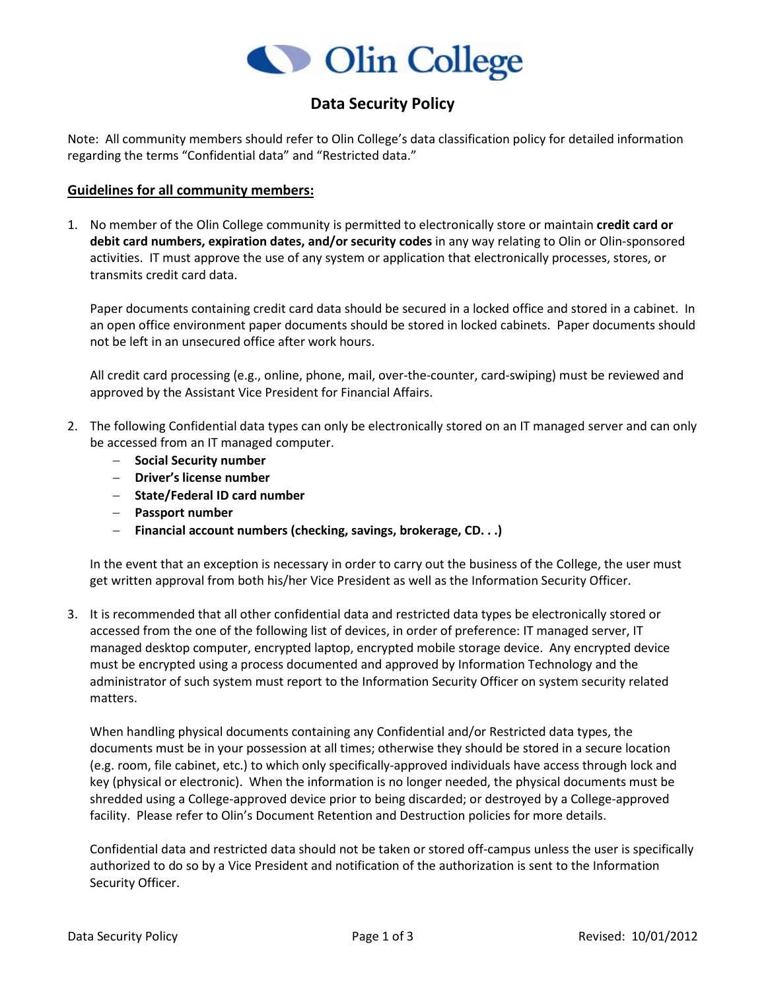

## **Data Security Policy**

Note: All community members should refer to Olin College's data classification policy for detailed information regarding the terms "Confidential data" and "Restricted data."

## **Guidelines for all community members:**

1. No member of the Olin College community is permitted to electronically store or maintain **credit card or debit card numbers, expiration dates, and/or security codes** in any way relating to Olin or Olin-sponsored activities. IT must approve the use of any system or application that electronically processes, stores, or transmits credit card data.

Paper documents containing credit card data should be secured in a locked office and stored in a cabinet. In an open office environment paper documents should be stored in locked cabinets. Paper documents should not be left in an unsecured office after work hours.

All credit card processing (e.g., online, phone, mail, over-the-counter, card-swiping) must be reviewed and approved by the Assistant Vice President for Financial Affairs.

- 2. The following Confidential data types can only be electronically stored on an IT managed server and can only be accessed from an IT managed computer.
	- − **Social Security number**
	- − **Driver's license number**
	- − **State/Federal ID card number**
	- − **Passport number**
	- − **Financial account numbers (checking, savings, brokerage, CD. . .)**

In the event that an exception is necessary in order to carry out the business of the College, the user must get written approval from both his/her Vice President as well as the Information Security Officer.

3. It is recommended that all other confidential data and restricted data types be electronically stored or accessed from the one of the following list of devices, in order of preference: IT managed server, IT managed desktop computer, encrypted laptop, encrypted mobile storage device. Any encrypted device must be encrypted using a process documented and approved by Information Technology and the administrator of such system must report to the Information Security Officer on system security related matters.

When handling physical documents containing any Confidential and/or Restricted data types, the documents must be in your possession at all times; otherwise they should be stored in a secure location (e.g. room, file cabinet, etc.) to which only specifically-approved individuals have access through lock and key (physical or electronic). When the information is no longer needed, the physical documents must be shredded using a College-approved device prior to being discarded; or destroyed by a College-approved facility. Please refer to Olin's Document Retention and Destruction policies for more details.

Confidential data and restricted data should not be taken or stored off-campus unless the user is specifically authorized to do so by a Vice President and notification of the authorization is sent to the Information Security Officer.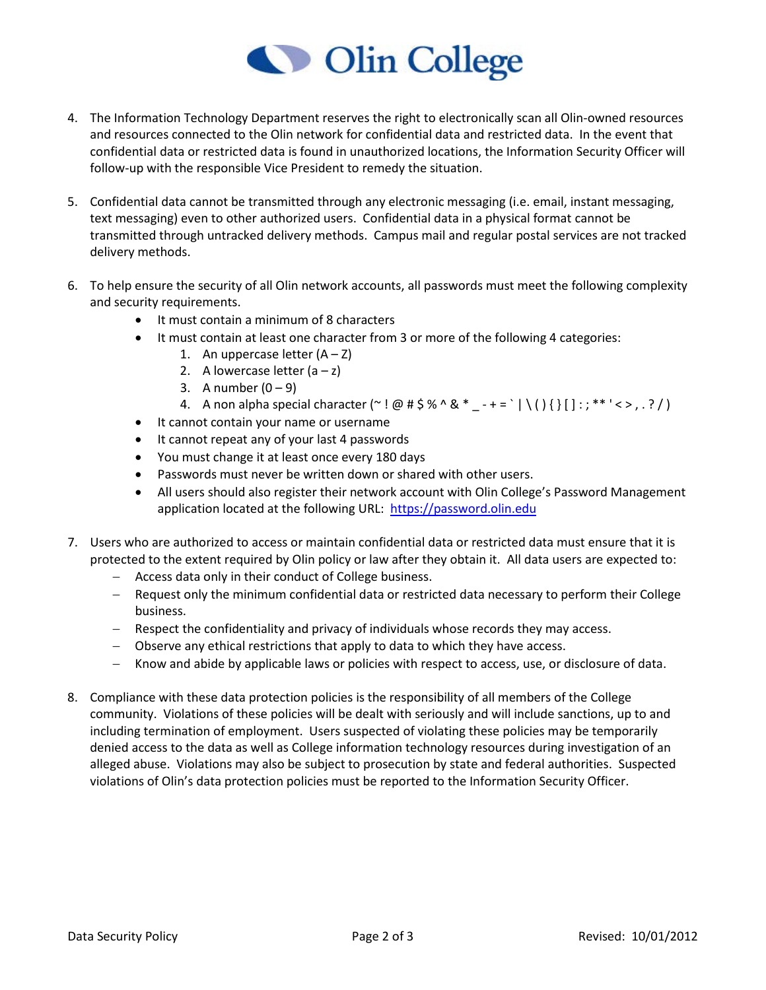## Olin College

- 4. The Information Technology Department reserves the right to electronically scan all Olin-owned resources and resources connected to the Olin network for confidential data and restricted data. In the event that confidential data or restricted data is found in unauthorized locations, the Information Security Officer will follow-up with the responsible Vice President to remedy the situation.
- 5. Confidential data cannot be transmitted through any electronic messaging (i.e. email, instant messaging, text messaging) even to other authorized users. Confidential data in a physical format cannot be transmitted through untracked delivery methods. Campus mail and regular postal services are not tracked delivery methods.
- 6. To help ensure the security of all Olin network accounts, all passwords must meet the following complexity and security requirements.
	- It must contain a minimum of 8 characters
	- It must contain at least one character from 3 or more of the following 4 categories:
		- 1. An uppercase letter  $(A Z)$
		- 2. A lowercase letter  $(a z)$
		- 3. A number  $(0 9)$
		- 4. A non alpha special character ( $\sim$ ! @ # \$ % ^ & \* + = ` | \ ( ) { } [ ] : ; \*\*' < > , . ? / )
	- It cannot contain your name or username
	- It cannot repeat any of your last 4 passwords
	- You must change it at least once every 180 days
	- Passwords must never be written down or shared with other users.
	- All users should also register their network account with Olin College's Password Management application located at the following URL: [https://password.olin.edu](https://password.olin.edu/)
- 7. Users who are authorized to access or maintain confidential data or restricted data must ensure that it is protected to the extent required by Olin policy or law after they obtain it. All data users are expected to:
	- − Access data only in their conduct of College business.
	- − Request only the minimum confidential data or restricted data necessary to perform their College business.
	- − Respect the confidentiality and privacy of individuals whose records they may access.
	- − Observe any ethical restrictions that apply to data to which they have access.
	- − Know and abide by applicable laws or policies with respect to access, use, or disclosure of data.
- 8. Compliance with these data protection policies is the responsibility of all members of the College community. Violations of these policies will be dealt with seriously and will include sanctions, up to and including termination of employment. Users suspected of violating these policies may be temporarily denied access to the data as well as College information technology resources during investigation of an alleged abuse. Violations may also be subject to prosecution by state and federal authorities. Suspected violations of Olin's data protection policies must be reported to the Information Security Officer.